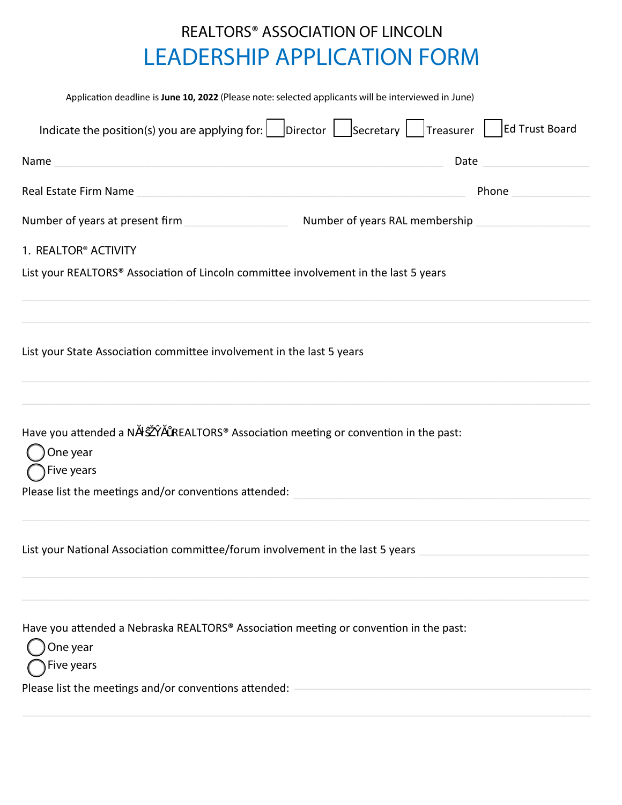## **REALTORS® ASSOCIATION OF LINCOLN LEADERSHIP APPLICATION FORM**

| Application deadline is June 10, 2022 (Please note: selected applicants will be interviewed in June)                      |                                |  |  |  |  |
|---------------------------------------------------------------------------------------------------------------------------|--------------------------------|--|--|--|--|
| Indicate the position(s) you are applying for: $\Box$ Director $\Box$ Secretary $\Box$ Treasurer $\Box$                   | Ed Trust Board                 |  |  |  |  |
| Name                                                                                                                      | Date                           |  |  |  |  |
| Real Estate Firm Name<br><u> 1980 - Johann Stein, mars an deus Amerikaansk kommunister (</u>                              | Phone                          |  |  |  |  |
| Number of years at present firm                                                                                           | Number of years RAL membership |  |  |  |  |
| 1. REALTOR <sup>®</sup> ACTIVITY                                                                                          |                                |  |  |  |  |
| List your REALTORS® Association of Lincoln committee involvement in the last 5 years                                      |                                |  |  |  |  |
| List your State Association committee involvement in the last 5 years                                                     |                                |  |  |  |  |
| REALTORS <sup>®</sup> Association meeting or convention in the past:<br>Have you attended a N<br>One year<br>Five years ( |                                |  |  |  |  |
| Please list the meetings and/or conventions attended:                                                                     |                                |  |  |  |  |
| List your National Association committee/forum involvement in the last 5 years                                            |                                |  |  |  |  |
| Have you attended a Nebraska REALTORS® Association meeting or convention in the past:<br>One year<br>Five years           |                                |  |  |  |  |
| Please list the meetings and/or conventions attended:                                                                     |                                |  |  |  |  |